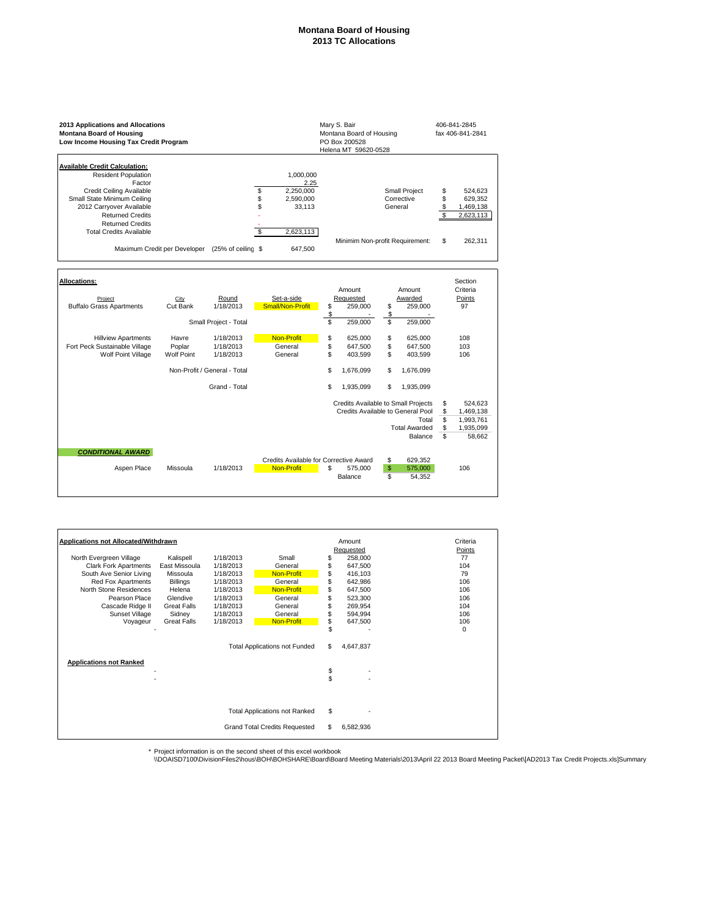## **Montana Board of Housing 2013 TC Allocations**

| 2013 Applications and Allocations<br><b>Montana Board of Housing</b><br>Low Income Housing Tax Credit Program                                                                                                                                               |                                                 |                                                                         | Mary S. Bair<br>406-841-2845<br>Montana Board of Housing<br>fax 406-841-2841<br>PO Box 200528<br>Helena MT 59620-0528 |                                                                             |                                                                                                                      |                            |                                                          |
|-------------------------------------------------------------------------------------------------------------------------------------------------------------------------------------------------------------------------------------------------------------|-------------------------------------------------|-------------------------------------------------------------------------|-----------------------------------------------------------------------------------------------------------------------|-----------------------------------------------------------------------------|----------------------------------------------------------------------------------------------------------------------|----------------------------|----------------------------------------------------------|
| <b>Available Credit Calculation:</b><br><b>Resident Population</b><br>Factor<br>Credit Ceiling Available<br>Small State Minimum Ceiling<br>2012 Carryover Available<br><b>Returned Credits</b><br><b>Returned Credits</b><br><b>Total Credits Available</b> | Maximum Credit per Developer (25% of ceiling \$ |                                                                         | 1,000,000<br>2.25<br>\$\$<br>2,250,000<br>2,590,000<br>33,113<br>2,623,113<br>\$<br>647,500                           |                                                                             | Small Project<br>Corrective<br>General<br>Minimim Non-profit Requirement:                                            | \$<br>\$<br>\$<br>\$<br>\$ | 524,623<br>629,352<br>1,469,138<br>2,623,113<br>262,311  |
| <b>Allocations:</b><br>Project<br><b>Buffalo Grass Apartments</b>                                                                                                                                                                                           | City<br>Cut Bank<br>Havre                       | Round<br>1/18/2013<br>Small Project - Total<br>1/18/2013                | Set-a-side<br>Small/Non-Profit<br><b>Non-Profit</b>                                                                   | Amount<br>Requested<br>\$<br>259,000<br>\$<br>S<br>259,000<br>\$<br>625,000 | Amount<br>Awarded<br>\$<br>259,000<br>\$<br>\$<br>259,000<br>\$<br>625,000                                           |                            | Section<br>Criteria<br>Points<br>97<br>108               |
| <b>Hillview Apartments</b><br>Fort Peck Sustainable Village<br>Wolf Point Village                                                                                                                                                                           | Poplar<br><b>Wolf Point</b>                     | 1/18/2013<br>1/18/2013<br>Non-Profit / General - Total<br>Grand - Total | General<br>General                                                                                                    | \$<br>647,500<br>\$<br>403,599<br>\$<br>1,676,099<br>S<br>1,935,099         | \$<br>647,500<br>\$<br>403,599<br>\$<br>1,676,099<br>\$<br>1,935,099                                                 |                            | 103<br>106                                               |
| <b>CONDITIONAL AWARD</b>                                                                                                                                                                                                                                    |                                                 |                                                                         |                                                                                                                       |                                                                             | Credits Available to Small Projects<br>Credits Available to General Pool<br>Total<br><b>Total Awarded</b><br>Balance | \$<br>\$<br>\$<br>\$<br>\$ | 524,623<br>1,469,138<br>1,993,761<br>1,935,099<br>58,662 |
| Aspen Place                                                                                                                                                                                                                                                 | Missoula                                        | 1/18/2013                                                               | Non-Profit                                                                                                            | Credits Available for Corrective Award<br>S<br>575,000<br>Balance           | \$<br>629,352<br>\$<br>575,000<br>s<br>54,352                                                                        |                            | 106                                                      |

| Applications not Allocated/Withdrawn |                    |                                      |                                      |          | Amount    | Criteria |
|--------------------------------------|--------------------|--------------------------------------|--------------------------------------|----------|-----------|----------|
|                                      |                    |                                      |                                      |          | Requested | Points   |
| North Evergreen Village              | Kalispell          | 1/18/2013                            | Small                                | S        | 258,000   | 77       |
| <b>Clark Fork Apartments</b>         | East Missoula      | 1/18/2013                            | General                              | S        | 647,500   | 104      |
| South Ave Senior Living              | Missoula           | 1/18/2013                            | Non-Profit                           | \$       | 416,103   | 79       |
| Red Fox Apartments                   | <b>Billings</b>    | 1/18/2013                            | General                              | S        | 642,986   | 106      |
| North Stone Residences               | Helena             | 1/18/2013                            | Non-Profit                           | \$       | 647,500   | 106      |
| Pearson Place                        | Glendive           | 1/18/2013                            | General                              |          | 523,300   | 106      |
| Cascade Ridge II                     | <b>Great Falls</b> | 1/18/2013                            | General                              |          | 269,954   | 104      |
| Sunset Village                       | Sidney             | 1/18/2013                            | General                              |          | 594,994   | 106      |
| Voyageur                             | <b>Great Falls</b> | 1/18/2013                            | <b>Non-Profit</b>                    | \$       | 647,500   | 106      |
|                                      |                    |                                      |                                      | \$       |           | 0        |
| <b>Applications not Ranked</b>       |                    |                                      | <b>Total Applications not Funded</b> | S        | 4,647,837 |          |
|                                      |                    |                                      |                                      | \$<br>\$ |           |          |
|                                      |                    |                                      |                                      |          |           |          |
|                                      |                    | <b>Total Applications not Ranked</b> | \$                                   |          |           |          |
|                                      |                    |                                      |                                      |          |           |          |
|                                      |                    |                                      | <b>Grand Total Credits Requested</b> | S        | 6,582,936 |          |

\* Project information is on the second sheet of this excel workbook<br>\\DOAISD7100\DivisionFiles2\hous\BOH\BOHSHARE\Board\Board Meeting Materials\2013\April 22 2013 Board Meeting Packet\[AD2013 Tax Credit Projects.xls]Summa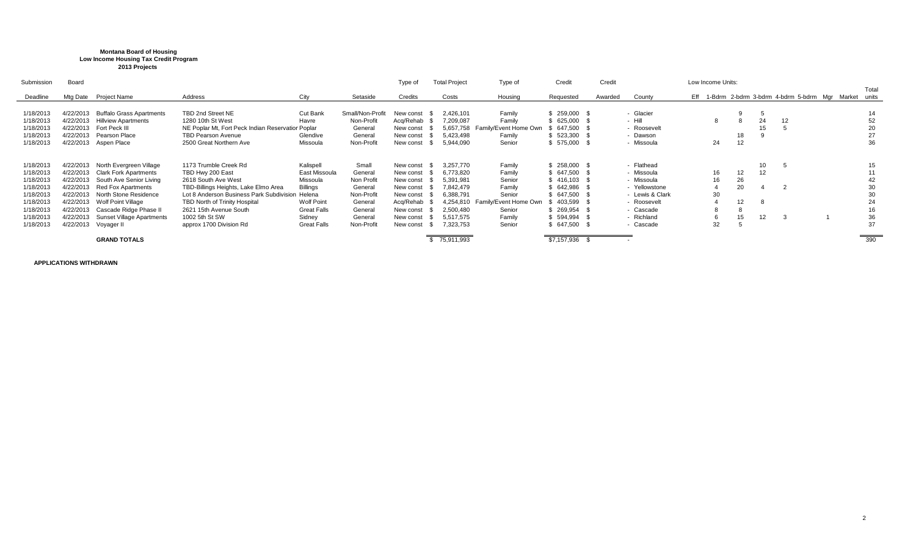## **Montana Board of Housing Low Income Housing Tax Credit Program 2013 Projects**

| Submission | Board     |                                 |                                                   |                    |                  | Type of   | <b>Total Project</b> | Type of               | Credit        | Credit  |                 |     | Low Income Units: |    |    |    |                                                     |       |
|------------|-----------|---------------------------------|---------------------------------------------------|--------------------|------------------|-----------|----------------------|-----------------------|---------------|---------|-----------------|-----|-------------------|----|----|----|-----------------------------------------------------|-------|
|            |           |                                 |                                                   |                    |                  |           |                      |                       |               |         |                 |     |                   |    |    |    |                                                     | Total |
| Deadline   | Mtg Date  | <b>Project Name</b>             | Address                                           | City               | Setaside         | Credits   | Costs                | Housing               | Requested     | Awarded | County          | Eff |                   |    |    |    | 1-Bdrm 2-bdrm 3-bdrm 4-bdrm 5-bdrm Mgr Market units |       |
|            |           |                                 |                                                   |                    |                  |           |                      |                       |               |         |                 |     |                   |    |    |    |                                                     |       |
| 1/18/2013  | 4/22/2013 | <b>Buffalo Grass Apartments</b> | TBD 2nd Street NE                                 | Cut Bank           | Small/Non-Profit | New const | 2,426,101            | Family                | $$259,000$ \$ |         | - Glacier       |     |                   |    | 5  |    |                                                     | 14    |
| 1/18/2013  | 4/22/2013 | <b>Hillview Apartments</b>      | 1280 10th St West                                 | Havre              | Non-Profit       | Acq/Rehab | 7,209,087            | Family                | \$ 625,000    |         | - Hill          |     |                   |    | 24 | 12 |                                                     | 52    |
| 1/18/2013  | 4/22/2013 | Fort Peck III                   | NE Poplar Mt, Fort Peck Indian Reservatior Poplar |                    | General          | New const | 5,657,758            | Family/Event Home Own | 647.500       |         | - Roosevelt     |     |                   |    | 15 |    |                                                     | 20    |
| 1/18/2013  | 4/22/2013 | Pearson Place                   | <b>TBD Pearson Avenue</b>                         | Glendive           | General          | New const | 5.423.498            | Family                | \$523,300     |         | - Dawson        |     |                   | 18 |    |    |                                                     | 27    |
| 1/18/2013  |           | 4/22/2013 Aspen Place           | 2500 Great Northern Ave                           | Missoula           | Non-Profit       | New const | 5,944,090            | Senior                | \$575,000     |         | - Missoula      |     | 24                | 12 |    |    |                                                     | 36    |
|            |           |                                 |                                                   |                    |                  |           |                      |                       |               |         |                 |     |                   |    |    |    |                                                     |       |
|            |           |                                 |                                                   |                    |                  |           |                      |                       |               |         |                 |     |                   |    |    |    |                                                     |       |
| 1/18/2013  | 4/22/2013 | North Evergreen Village         | 1173 Trumble Creek Rd                             | Kalispell          | Small            | New const | 3,257,770            | Family                | $$258,000$ \$ |         | - Flathead      |     |                   |    | 10 |    |                                                     |       |
| 1/18/2013  | 4/22/2013 | <b>Clark Fork Apartments</b>    | TBD Hwy 200 East                                  | East Missoula      | General          | New const | 6,773,820            | Family                | 647,500       |         | - Missoula      |     | 16                | 12 | 12 |    |                                                     |       |
| 1/18/2013  | 4/22/2013 | South Ave Senior Living         | 2618 South Ave West                               | Missoula           | Non Profit       | New const | 5.391.981            | Senior                | $$416.103$ \$ |         | - Missoula      |     | 16                | 26 |    |    |                                                     | 42    |
| 1/18/2013  | 4/22/2013 | Red Fox Apartments              | TBD-Billings Heights, Lake Elmo Area              | <b>Billings</b>    | General          | New const | 7.842.479            | Family                | \$642,986     |         | - Yellowstone   |     |                   | 20 |    |    |                                                     | 30    |
| 1/18/2013  | 4/22/2013 | North Stone Residence           | Lot 8 Anderson Business Park Subdivision          | Helena             | Non-Profit       | New const | 6,388,791            | Senior                | 647,500       |         | - Lewis & Clark |     | 30                |    |    |    |                                                     | 30    |
| 1/18/2013  | 4/22/2013 | Wolf Point Village              | TBD North of Trinity Hospital                     | <b>Wolf Point</b>  | General          | Acq/Rehab | 4.254.810            | Family/Event Home Own | 403,599       |         | - Roosevelt     |     |                   | 12 | 8  |    |                                                     | 24    |
| 1/18/2013  | 4/22/2013 | Cascade Ridge Phase II          | 2621 15th Avenue South                            | <b>Great Falls</b> | General          | New const | 2,500,480            | Senior                | 269,954       |         | - Cascade       |     |                   |    |    |    |                                                     | 16    |
| 1/18/2013  | 4/22/2013 | Sunset Village Apartments       | 1002 5th St SW                                    | Sidney             | General          | New const | 5.517.575            | Family                | 594,994       |         | - Richland      |     | b                 | 15 | 12 |    |                                                     | 36    |
| 1/18/2013  | 4/22/2013 | Voyager II                      | approx 1700 Division Rd                           | <b>Great Falls</b> | Non-Profit       | New const | 7.323.753            | Senior                | \$647,500     |         | - Cascade       |     | 32                |    |    |    |                                                     | 37    |
|            |           |                                 |                                                   |                    |                  |           |                      |                       |               |         |                 |     |                   |    |    |    |                                                     |       |
|            |           | <b>GRAND TOTALS</b>             |                                                   |                    |                  |           | \$75,911,993         |                       | \$7,157,936   |         | . .             |     |                   |    |    |    |                                                     | 390   |

**APPLICATIONS WITHDRAWN**